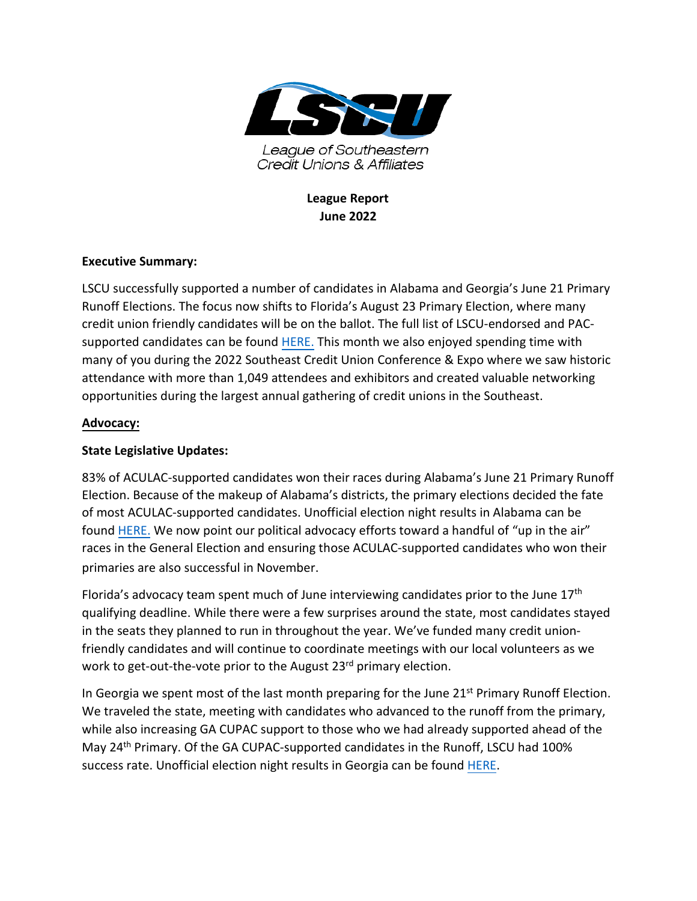

**League Report June 2022**

## **Executive Summary:**

LSCU successfully supported a number of candidates in Alabama and Georgia's June 21 Primary Runoff Elections. The focus now shifts to Florida's August 23 Primary Election, where many credit union friendly candidates will be on the ballot. The full list of LSCU-endorsed and PAC-supported candidates can be found [HERE.](https://www.lscu.coop/creditunionsvote/supported.html) This month we also enjoyed spending time with many of you during the 2022 Southeast Credit Union Conference & Expo where we saw historic attendance with more than 1,049 attendees and exhibitors and created valuable networking opportunities during the largest annual gathering of credit unions in the Southeast.

## **Advocacy:**

## **State Legislative Updates:**

83% of ACULAC-supported candidates won their races during Alabama's June 21 Primary Runoff Election. Because of the makeup of Alabama's districts, the primary elections decided the fate of most ACULAC-supported candidates. Unofficial election night results in Alabama can be found [HERE.](https://nam04.safelinks.protection.outlook.com/?url=https%3A%2F%2Fwww2.alabamavotes.gov%2FelectionNight%2FstatewideResultsByContest.aspx%3Fecode%3D1001155&data=05%7C01%7CBlake.Westbrook%40lscu.coop%7Cc846ea6a1179451f06af08da55583bb5%7C35d0fbd62b1c432a96dbbeb69180cfc3%7C1%7C0%7C637916134695287941%7CUnknown%7CTWFpbGZsb3d8eyJWIjoiMC4wLjAwMDAiLCJQIjoiV2luMzIiLCJBTiI6Ik1haWwiLCJXVCI6Mn0%3D%7C3000%7C%7C%7C&sdata=mplmy9kV3ogieNwrF3a%2BHzYsXP%2FiSo%2F3sOwwOB2zrao%3D&reserved=0) We now point our political advocacy efforts toward a handful of "up in the air" races in the General Election and ensuring those ACULAC-supported candidates who won their primaries are also successful in November.

Florida's advocacy team spent much of June interviewing candidates prior to the June 17<sup>th</sup> qualifying deadline. While there were a few surprises around the state, most candidates stayed in the seats they planned to run in throughout the year. We've funded many credit unionfriendly candidates and will continue to coordinate meetings with our local volunteers as we work to get-out-the-vote prior to the August 23<sup>rd</sup> primary election.

In Georgia we spent most of the last month preparing for the June 21<sup>st</sup> Primary Runoff Election. We traveled the state, meeting with candidates who advanced to the runoff from the primary, while also increasing GA CUPAC support to those who we had already supported ahead of the May 24th Primary. Of the GA CUPAC-supported candidates in the Runoff, LSCU had 100% success rate. Unofficial election night results in Georgia can be found [HERE.](https://results.enr.clarityelections.com/GA/114891/web.285569/#/summary)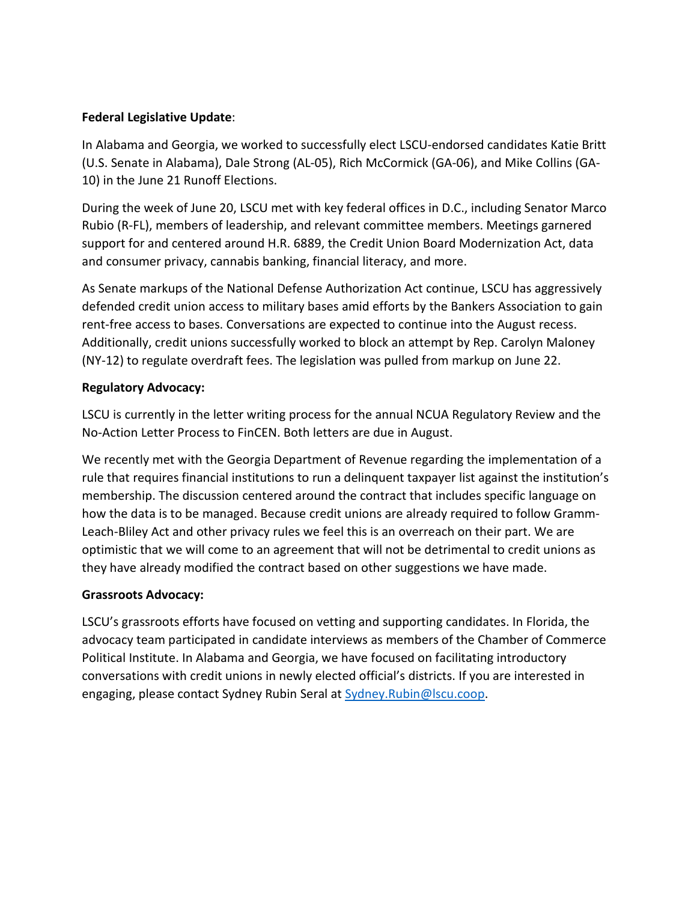# **Federal Legislative Update**:

In Alabama and Georgia, we worked to successfully elect LSCU-endorsed candidates Katie Britt (U.S. Senate in Alabama), Dale Strong (AL-05), Rich McCormick (GA-06), and Mike Collins (GA-10) in the June 21 Runoff Elections.

During the week of June 20, LSCU met with key federal offices in D.C., including Senator Marco Rubio (R-FL), members of leadership, and relevant committee members. Meetings garnered support for and centered around H.R. 6889, the Credit Union Board Modernization Act, data and consumer privacy, cannabis banking, financial literacy, and more.

As Senate markups of the National Defense Authorization Act continue, LSCU has aggressively defended credit union access to military bases amid efforts by the Bankers Association to gain rent-free access to bases. Conversations are expected to continue into the August recess. Additionally, credit unions successfully worked to block an attempt by Rep. Carolyn Maloney (NY-12) to regulate overdraft fees. The legislation was pulled from markup on June 22.

## **Regulatory Advocacy:**

LSCU is currently in the letter writing process for the annual NCUA Regulatory Review and the No-Action Letter Process to FinCEN. Both letters are due in August.

We recently met with the Georgia Department of Revenue regarding the implementation of a rule that requires financial institutions to run a delinquent taxpayer list against the institution's membership. The discussion centered around the contract that includes specific language on how the data is to be managed. Because credit unions are already required to follow Gramm-Leach-Bliley Act and other privacy rules we feel this is an overreach on their part. We are optimistic that we will come to an agreement that will not be detrimental to credit unions as they have already modified the contract based on other suggestions we have made.

# **Grassroots Advocacy:**

LSCU's grassroots efforts have focused on vetting and supporting candidates. In Florida, the advocacy team participated in candidate interviews as members of the Chamber of Commerce Political Institute. In Alabama and Georgia, we have focused on facilitating introductory conversations with credit unions in newly elected official's districts. If you are interested in engaging, please contact Sydney Rubin Seral at [Sydney.Rubin@lscu.coop.](mailto:Sydney.Rubin@lscu.coop)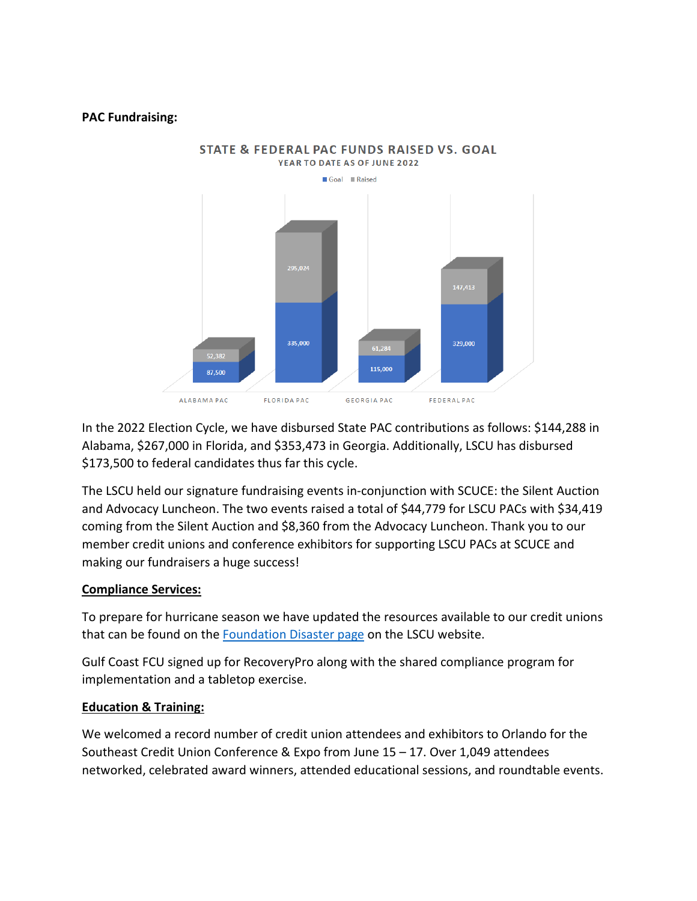#### **PAC Fundraising:**



**STATE & FEDERAL PAC FUNDS RAISED VS. GOAL** 

In the 2022 Election Cycle, we have disbursed State PAC contributions as follows: \$144,288 in Alabama, \$267,000 in Florida, and \$353,473 in Georgia. Additionally, LSCU has disbursed \$173,500 to federal candidates thus far this cycle.

The LSCU held our signature fundraising events in-conjunction with SCUCE: the Silent Auction and Advocacy Luncheon. The two events raised a total of \$44,779 for LSCU PACs with \$34,419 coming from the Silent Auction and \$8,360 from the Advocacy Luncheon. Thank you to our member credit unions and conference exhibitors for supporting LSCU PACs at SCUCE and making our fundraisers a huge success!

### **Compliance Services:**

To prepare for hurricane season we have updated the resources available to our credit unions that can be found on th[e Foundation Disaster page](http://lscu.coop/foundation/disaster.php) on the LSCU website.

Gulf Coast FCU signed up for RecoveryPro along with the shared compliance program for implementation and a tabletop exercise.

### **Education & Training:**

We welcomed a record number of credit union attendees and exhibitors to Orlando for the Southeast Credit Union Conference & Expo from June 15 – 17. Over 1,049 attendees networked, celebrated award winners, attended educational sessions, and roundtable events.